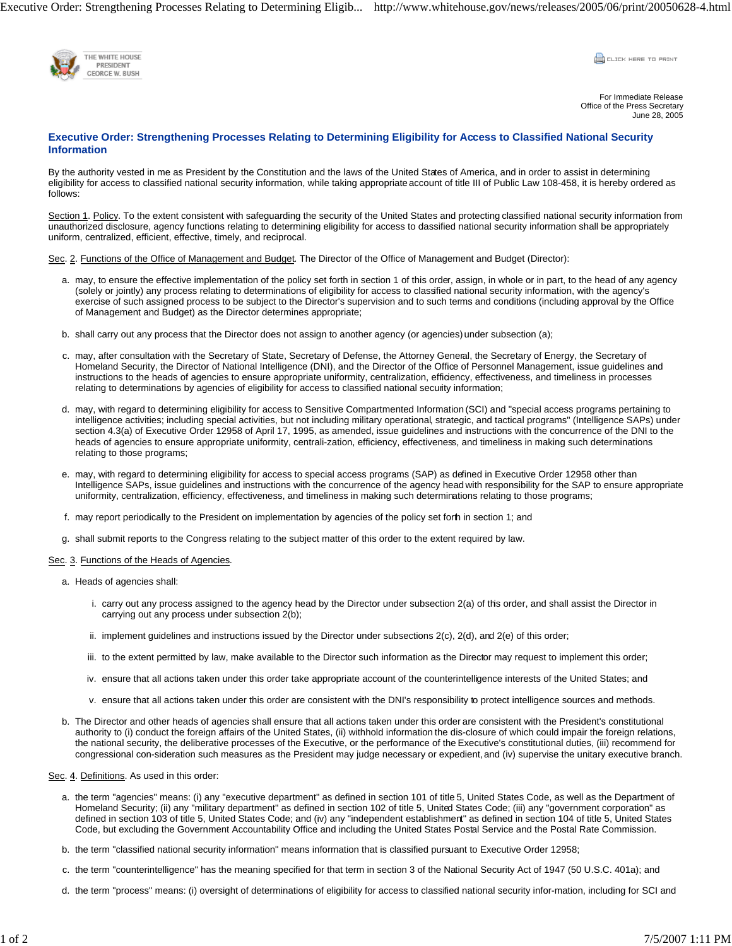Executive Order: Strengthening Processes Relating to Determining Eligib... http://www.whitehouse.gov/news/releases/2005/06/print/20050628-4.html



CLICK HERE TO PRINT

For Immediate Release Office of the Press Secretary June 28, 2005

# **Executive Order: Strengthening Processes Relating to Determining Eligibility for Access to Classified National Security Information**

By the authority vested in me as President by the Constitution and the laws of the United States of America, and in order to assist in determining eligibility for access to classified national security information, while taking appropriate account of title III of Public Law 108-458, it is hereby ordered as follows:

Section 1. Policy. To the extent consistent with safeguarding the security of the United States and protecting classified national security information from unauthorized disclosure, agency functions relating to determining eligibility for access to dassified national security information shall be appropriately uniform, centralized, efficient, effective, timely, and reciprocal.

Sec. 2. Functions of the Office of Management and Budget. The Director of the Office of Management and Budget (Director):

- a. may, to ensure the effective implementation of the policy set forth in section 1 of this order, assign, in whole or in part, to the head of any agency (solely or jointly) any process relating to determinations of eligibility for access to classified national security information, with the agency's exercise of such assigned process to be subject to the Director's supervision and to such terms and conditions (including approval by the Office of Management and Budget) as the Director determines appropriate;
- b. shall carry out any process that the Director does not assign to another agency (or agencies) under subsection (a);
- c. may, after consultation with the Secretary of State, Secretary of Defense, the Attorney General, the Secretary of Energy, the Secretary of Homeland Security, the Director of National Intelligence (DNI), and the Director of the Office of Personnel Management, issue guidelines and instructions to the heads of agencies to ensure appropriate uniformity, centralization, efficiency, effectiveness, and timeliness in processes relating to determinations by agencies of eligibility for access to classified national security information;
- d. may, with regard to determining eligibility for access to Sensitive Compartmented Information (SCI) and "special access programs pertaining to intelligence activities; including special activities, but not including military operational, strategic, and tactical programs" (Intelligence SAPs) under section 4.3(a) of Executive Order 12958 of April 17, 1995, as amended, issue guidelines and instructions with the concurrence of the DNI to the heads of agencies to ensure appropriate uniformity, centrali-zation, efficiency, effectiveness, and timeliness in making such determinations relating to those programs;
- e. may, with regard to determining eligibility for access to special access programs (SAP) as defined in Executive Order 12958 other than Intelligence SAPs, issue guidelines and instructions with the concurrence of the agency head with responsibility for the SAP to ensure appropriate uniformity, centralization, efficiency, effectiveness, and timeliness in making such determinations relating to those programs;
- f. may report periodically to the President on implementation by agencies of the policy set forth in section 1; and
- g. shall submit reports to the Congress relating to the subject matter of this order to the extent required by law.

#### Sec. 3. Functions of the Heads of Agencies.

- a. Heads of agencies shall:
	- i. carry out any process assigned to the agency head by the Director under subsection 2(a) of this order, and shall assist the Director in carrying out any process under subsection 2(b);
	- ii. implement guidelines and instructions issued by the Director under subsections 2(c), 2(d), and 2(e) of this order;
	- iii. to the extent permitted by law, make available to the Director such information as the Director may request to implement this order;
	- iv. ensure that all actions taken under this order take appropriate account of the counterintelligence interests of the United States; and
	- v. ensure that all actions taken under this order are consistent with the DNI's responsibility to protect intelligence sources and methods.
- The Director and other heads of agencies shall ensure that all actions taken under this order are consistent with the President's constitutional b. authority to (i) conduct the foreign affairs of the United States, (ii) withhold information the dis-closure of which could impair the foreign relations, the national security, the deliberative processes of the Executive, or the performance of the Executive's constitutional duties, (iii) recommend for congressional con-sideration such measures as the President may judge necessary or expedient, and (iv) supervise the unitary executive branch.

## Sec. 4. Definitions. As used in this order:

- a. the term "agencies" means: (i) any "executive department" as defined in section 101 of title 5, United States Code, as well as the Department of Homeland Security; (ii) any "military department" as defined in section 102 of title 5, United States Code; (iii) any "government corporation" as defined in section 103 of title 5, United States Code; and (iv) any "independent establishment" as defined in section 104 of title 5, United States Code, but excluding the Government Accountability Office and including the United States Postal Service and the Postal Rate Commission.
- b. the term "classified national security information" means information that is classified pursuant to Executive Order 12958;
- c. the term "counterintelligence" has the meaning specified for that term in section 3 of the National Security Act of 1947 (50 U.S.C. 401a); and
- d. the term "process" means: (i) oversight of determinations of eligibility for access to classified national security infor-mation, including for SCI and